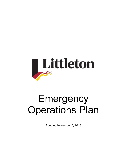

# Emergency Operations Plan

Adopted November 5, 2013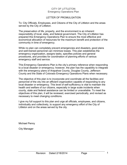#### LETTER OF PROMULGATION

To: City Officials, Employees, and Citizens of the City of Littleton and the areas served by the City of Littleton.

The preservation of life, property, and the environment is an inherent responsibility of local, state, and federal government. The City of Littleton has prepared this Emergency Operations Plan to ensure the most effective and economical allocation of resources for the maximum benefit and protection of the community in time of emergency.

While no plan can completely prevent emergencies and disasters, good plans and well-trained personnel can minimize losses. This plan establishes the emergency organization, assigns tasks, specifies policies and general procedures, and provides for coordination of planning efforts of various emergency staff and service.

This Emergency Operations Plan is the city's primary reference when responding to a local disaster or emergency; however, the plan has the capability to integrate with the emergency plans of Arapahoe County, Douglas County, Jefferson County and the State of Colorado Emergency Operations Plans when necessary.

The objective of this plan is to incorporate and coordinate all the facilities and personnel of the city into an efficient organization capable of responding to any local disaster or emergency. This level of self-sufficiency is vital to maintain the health and welfare of our citizens, especially in large scale incidents when county, state and federal assistance can be limited or unavailable. To meet the objectives of this plan, it will be reviewed, exercised periodically, and revised as necessary to meet changing conditions.

I give my full support to this plan and urge all officials, employees, and citizens, individually and collectively, to support any emergency effort of the City of Littleton and on the areas served by the city.

Michael Penny

City Manager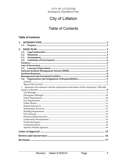## **City of Littleton**

### **Table of Contents**

#### **Table of Contents**

| 1.1.                                                                                            |  |
|-------------------------------------------------------------------------------------------------|--|
|                                                                                                 |  |
|                                                                                                 |  |
| 2.1.                                                                                            |  |
| 2.2.                                                                                            |  |
| 2.3.                                                                                            |  |
| 2.4.                                                                                            |  |
|                                                                                                 |  |
|                                                                                                 |  |
| 2.5.                                                                                            |  |
|                                                                                                 |  |
|                                                                                                 |  |
| 2.6.                                                                                            |  |
|                                                                                                 |  |
|                                                                                                 |  |
| Announce the existence and the subsequent termination of the emergency. Officially<br>$\bullet$ |  |
|                                                                                                 |  |
|                                                                                                 |  |
|                                                                                                 |  |
|                                                                                                 |  |
|                                                                                                 |  |
|                                                                                                 |  |
|                                                                                                 |  |
|                                                                                                 |  |
|                                                                                                 |  |
|                                                                                                 |  |
|                                                                                                 |  |
|                                                                                                 |  |
|                                                                                                 |  |
|                                                                                                 |  |
|                                                                                                 |  |
|                                                                                                 |  |
|                                                                                                 |  |
|                                                                                                 |  |
|                                                                                                 |  |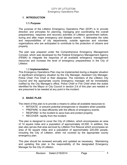#### **1. INTRODUCTION**

#### **1.1.Purpose**

The purpose of the Littleton Emergency Operations Plan (EOP) is to provide direction and principles for planning, managing and coordinating the overall preparedness, response and recovery activities of Littleton government before, during and after major emergency and disaster events. It delineates the roles and responsibilities of city departments, outside agencies and volunteer organizations who are anticipated to contribute to the protection of citizens and property.

The plan was prepared under the Comprehensive Emergency Management Concept, which was developed by the Federal Emergency Management Agency (FEMA) to integrate the response of all available emergency management resources and increase the level of emergency preparedness in the City of Littleton.

#### 1.2 **Implementation**

This Emergency Operations Plan may be implemented during a disaster situation or significant emergency situation by the City Manager, Assistant City Manager, Police Chief, Fire Chief or their designee. The members of the Littleton City Council and the appropriate county emergency manager will be immediately notified by the City Manager's office, Police Chief or Fire Chief when the duties identified for the Mayor or City Council in section 2.6 of this plan are needed or are presumed to be needed at any point in the incident.

#### **2. BASIC PLAN**

The intent of this plan is to provide a means to utilize all available resources to:

- MITIGATE or prevent potential emergencies or disasters when possible.
- PREPARE to deal efficiently with the effects of emergency events.
- RESPOND to the incident to save lives and protect property.
- RECOVER rapidly from the incident.

This plan is designed to cover the City of Littleton, which encompasses an area of 14 square miles and a population of approximately 42,000. In addition, this plan also serves that area serviced by Littleton Fire Rescue which encompass an area of 92 square miles and a population of approximately 220,000 people, including the City of Littleton, when not covered by the appropriate county emergency plan.

This plan should be reviewed annually and updated as necessary. Maintaining and updating this plan is the responsibility of the designated Emergency Manager for the City of Littleton.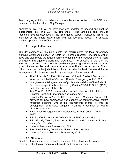Any changes, additions or deletions to the substantive content of this EOP must be approved by the Littleton City Manager.

Annexes to this EOP will be developed and updated as needed and shall be incorporated into this EOP by reference. The annexes shall include responsibilities as described in the Emergency Support Functions (ESFs) as identified by the federal government and local identified needs. The annexes shall be approved by the City Manager.

#### **2.1.Legal Authorities**

The development of this plan meets the requirements for local emergency planning established under the State of Colorado Disaster Emergency Act of 1992 and also meets the requirements of other State and Federal plans for local emergency management plans and programs. The contents of the plan are intended to provide a basis for the coordinated planning and management of the types of emergencies and disaster events most likely to occur in the City of Littleton and contracted jurisdictions. It also provides the basic framework for the management of unforeseen events. Specific legal references include:

- Title 24, Article 32, Part 2101 et. seq., Colorado Revised Statutes, as amended; entitled the "Colorado Disaster Emergency Act of 1992."
- Intergovernmental agreements of political subdivisions of the State of Colorado as specifically authorized by Section 29-1-203 C.R.S. (1986) and other sections of the C.R.S
- Title VI of PL 93-288, as amended, entitled "The Robert T. Stafford Disaster Relief and Emergency Assistance Act."
- Disaster Mitigation Act of 2000. The Disaster Mitigation Act of 2000 provides for new approaches and support for comprehensive hazard mitigation planning. One of the requirements of this Act was the development of a State Mitigation Plan as a condition of federal disaster assistance.
- Emergency Management and Assistance, 44 U.S. Code 2.1 (Oct. 1, 1980)
- P.L. 81-920, Federal Civil Defense Act of 1950 as amended
- P.L. 99-499, Title III, Emergency Planning and Community Right-to-Know, Oct.17, 1986
- National Response Framework, 2008
- Presidential Policy Directive 8: National Preparedness
- National Disaster Recovery Framework, 2011

#### **2.2.Situations**

Situations that may require the implementation of this plan include natural hazards, technological, man made hazards and planned events.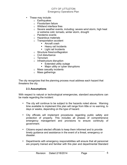- These may include:
	- o Earthquakes
	- o Floods/dam failure
	- o Wildland interface fires
	- o Severe weather events, including: severe wind storm, high heat or extreme cold, tornado, winter storm, drought
	- o Pandemic events
	- o Hazardous materials
	- o Transportation accident
		- Aircraft crash
		- Heavy rail Incidents
		- Light rail Incidents
	- o Structure fires/conflagration
	- o Civil disturbance
	- o Terrorism
	- o Infrastructure disruption
		- Extended utility outage
		- Major utility or cyber disruptions
	- o Mass casualty incidents
	- o Mass gatherings

The city recognizes that the planning process must address each hazard that threatens the city.

#### **2.3.Assumptions**

With respect to natural or technological emergencies, standard assumptions can be made regarding the incident:

- The city will continue to be subject to the hazards noted above. Warning time available to implement this plan will range from little or no warning, to days or weeks, depending on the type of hazard.
- City officials will implement procedures regarding public safety and protection of property. This includes all phases of comprehensive emergency management and provisions to ensure continuity of government.
- Citizens expect elected officials to keep them informed and to provide timely guidance and assistance in the event of a threat, emergency or disaster.
- Departments with emergency responsibilities will ensure that all personnel are properly trained and familiar with this plan and departmental Standard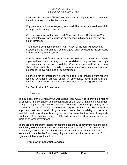Operating Procedures (SOPs) so that they are capable of implementing them in a timely and effective manner.

- City personnel without emergency responsibilities may be asked to work in a support role during a disaster.
- With the possibility of terrorism and Weapons of Mass Destruction (WMD), any technological hazard must be approached initially as if it may be an act of terrorism.
- The Incident Command System (ICS), National Incident Management System (NIMS) and Unified Command (UC) shall be used as the on-scene incident management system.
- County, state and federal assistance, as well as volunteer and private organizations, may, or may not be available to supplement the city's resources as required and available. Such resources will be necessary should the capability of the city to perform necessary functions during an emergency is overwhelmed or compromised.
- Financing for an emergency event will need to be provided from reserve funding or funding granted under an emergency declaration with that funding then provided by the city, county, state or federal government.

#### **2.4.Continuity of Government**

#### **Purpose**

The purpose of the Continuity Of Operations Plan (COOP) is to provide a means of ensuring the continuity and preservation of the City of Littleton government during a major emergency or disaster. Disasters can interrupt, paralyze, or destroy the ability of local government to carry out its functions. Therefore, it is important that each level of government have the capability to preserve, maintain, and reconstitute its ability to carry out essential functions. A separate Continuity of Operations Plan (COOP) shall be maintained to ensure continued function of local government.

There are two important factors for assuring continuity of government at the local level: first, well defined and understood lines of succession for key officials and authorities; second, preservation of records and critical facilities which are essential to the effective functioning of government and for the protection of rights and interests of the citizens.

#### **Provision of Essential Services**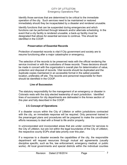Identify those services that are determined to be critical to the immediate operation of the city. Such services need to be maintained or restored immediately should they be incapacitated by a disaster and rendered unusable.

Identify functions that can be suspended during emergencies and which functions can be performed through telework and/or alternate scheduling. In the event that a city facility is rendered unusable, a back-up facility must be designated that allows for essential services to continue. This should be identified in the COOP.

#### **Preservation of Essential Records**

Protection of essential records is vital if City government and society are to resume functioning after a major catastrophe or emergency.

The selection of the records to be preserved rests with the official rendering the service involved or with the custodians of these records. These decisions should be made in concert with the organization's overall plan for determination of value, protection and disposal of records. Vital records should be duplicated and the duplicate copies maintained in an accessible format in the safest possible location, preferably off site. The records and personnel responsible for them should be identified in the COOP.

#### **Line of Succession**

The statutory responsibility for the management of an emergency or disaster in Colorado rests with the duly elected leadership of each jurisdiction. Identified lines of succession for city departments are delineated in the Annex section of this plan and fully described in the COOP.

#### **2.5.Concept of Operations**

.

If a disaster occurs within the City of Littleton or within jurisdictions contracted with the city, an immediate response will be required. Only personnel trained in the prearranged plans and procedures will be prepared to make the coordinated efforts necessary to deal with a threat to life and/or property.

In unincorporated and incorporated areas that are under contract for services to the City of Littleton, but are not within the legal boundaries of the City of Littleton, the respective county EOPs shall take priority over this plan.

If a response to a disaster exceeds the capabilities of the city, the responsible department will request resources through mutual aid agreements (usually discipline specific, such as fire, law enforcement, emergency medical, or public works). All local governments and special districts within the individual counties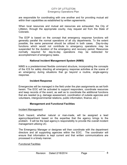are responsible for coordinating with one another and for providing mutual aid within their capabilities as established by written agreements.

When local resources and mutual aid resources are exhausted, the City of Littleton, through the appropriate county, may request aid from the State of Colorado.

The EOP is based on the concept that emergency response functions will generally parallel the normal operations of all city departments. To the extent possible, the same personnel should be utilized in both cases. Day-to-day functions which would not contribute to emergency operations may be suspended for the duration of the emergency and recovery period. Resources normally required for day-to-day operations may be redirected for accomplishment of emergency tasks.

#### **National Incident Management System (NIMS)**

NIMS is a predetermined flexible command structure, incorporating the concepts of the ICS for safely directing all emergency response activities at the scene of an emergency during situations that go beyond a routine, single-agency response.

#### **Incident Response**

Emergencies will be managed in the field under the plan assignments as set forth herein. The EOC will be activated to support responders, coordinate resources and keep records of the event, as well as to coordinate the additional functions that are needed (e.g. damage assessment, coordination of outside agencies and volunteers, intergovernmental relations, public information, finance, etc.)

#### **Management and Functional Facilities**

#### Incident Management

Each hazard, whether natural or man-made, will be assigned a lead agency/department based on the expertise that the agency brings to the problem. It will be the lead agency's responsibility to provide the overall incident management utilizing UC.

The Emergency Manager or designee will then coordinate with the department directors and all supporting agencies within the EOC. The coordinator will ensure that information is kept current and that written communications are processed in a timely manner.

#### Functional Facilities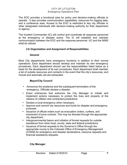The EOC provides a functional area for policy and decision-making officials to operate. It also provides communication capabilities, resources for logging data, and a conference area. Access to the EOC is restricted to key city officials or other designated individuals with decision-making authority for their department or agency.

The Incident Commander (IC) will control and coordinate all response personnel at the emergency or disaster scene. The IC will establish and maintain communication between the EOC and the response personnel. UC and the NIMS shall be utilized.

#### **2.6.Organization and Assignment of Responsibilities**

#### **General**

Most City departments have emergency functions in addition to their normal operations. Each department should develop and maintain its own emergency procedures. Each department should use the responsibilities listed below as a basis for the development of its own procedures. Each department shall maintain a list of outside resources and contacts in the event that the city's resources, and mutual and automatic aid are exhausted.

#### **Mayor/City Council**

- Announce the existence and the subsequent termination of the emergency. Officially declare a disaster.
- Enact ordinances that authorize the City Manager to initiate and implement actions necessary to protect the lives and property of the citizens of Littleton and contracted jurisdictions.
- Declare a local emergency when necessary.
- Approve and commit city resources and funds for disaster and emergency purposes
- Issuance of official orders such as evacuation orders, curfews, and enactment of price controls. This may be directed through the appropriate city department.
- Intergovernmental liaison and initiation of formal requests for outside assistance from other local, county, state and federal jurisdictions.
- Issuance of formal requests to the Governor's Office through the appropriate county to the Colorado Office of Emergency Management (COEM) for emergency and disaster declarations, resource requests and financial assistance requests.

#### **City Manager**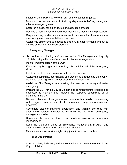- Implement the EOP in whole or in part as the situation requires.
- Maintain direction and control of all city departments before, during and after an emergency event.
- Establish a policy for expenditures and allocation of funds.
- Develop a plan to ensure that all vital records are identified and protected.
- Request county and/or state assistance if it appears that local resources are inadequate to cope with the emergency.
- Assign city employees as needed to assist with other functions and duties outside of their normal responsibilities.

#### **Emergency Manager**

- Act as the coordinating staff advisor to the City Manager and key city officials during all levels of response to disaster emergencies.
- Monitor implementation of the EOP.
- Keep the City Manager and other key officials informed of the emergency situation.
- Establish the EOC and be responsible for its operation.
- Assist with compiling, coordinating and presenting a request to the county, state and federal government for disaster relief assistance.
- Assist the City Manager in evaluating the need for declaring a disaster emergency.
- Prepare the EOP for the City of Littleton and conduct training exercises as necessary to maintain and improve the response capabilities of all elements in the city.
- Develop private and local government resource lists. Assist in developing written agreements for their effective utilization during emergencies and disasters.
- Coordinate disaster planning, operations, and training exercises with appropriate outside agencies to enhance the integrated emergency management system.
- Represent the city as directed on matters relating to emergency management.
- Keep the Colorado Office of Emergency Management (COEM) and appropriate county informed of a disaster situation.
- Maintain coordination with neighboring jurisdictions and counties.

#### **Police Department**

• Conduct all regularly assigned functions relating to law enforcement in the City of Littleton.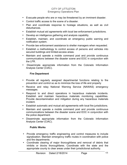- Evacuate people who are or may be threatened by an imminent disaster.
- Control traffic access to the scene of a disaster.
- Plan and coordinate response to hostage situations, as well as civil disturbances.
- Establish mutual aid agreements with local law enforcement jurisdictions.
- Develop an intelligence gathering and analysis capability.
- Establish, maintain, and coordinate an emergency public warning and notification system.
- Provide law enforcement assistance to shelter managers when requested.
- Establish a methodology to control access of persons and vehicles into secured buildings and limited-access areas.
- Maintain and operate a mobile command post and provide continuous communications between the disaster scene and EOC in conjunction with the LFR.
- Disseminate appropriate information from the Colorado Information Analysis Center (CIAC).

#### **Fire Department**

- Provide all regularly assigned departmental functions relating to fire prevention and control so as to minimize the loss of life and property
- Receive and relay National Warning Service (NAWAS) emergency messages.
- Respond to and direct operations in hazardous materials incidents. Establish and maintain hazardous materials monitoring capabilities. Provide decontamination and mitigation during any hazardous materials incident.
- Establish automatic and mutual aid agreements with local fire jurisdictions.
- Maintain and operate a mobile command post and provide continuous communications between the disaster scene and EOC in conjunction with the police department.
- Disseminate appropriate information from the Colorado Information Analysis Center (CIAC).

#### **Public Works**

- Provide emergency traffic engineering and control measures to include signalization. Maintain emergency traffic routes in coordination with police and fire departments.
- Coordinate clearing of major thoroughfares and removal of debris that inhibits or blocks thoroughfares. Coordinate with the state and the appropriate county to clear areas under their jurisdictional authority.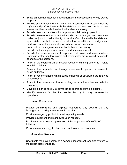- Establish damage assessment capabilities and procedures for city-owned property.
- Provide snow removal during winter storm conditions for areas under the city's authority. Coordinate with the state and appropriate county to clear area under their jurisdictional authority when necessary.
- Provide resources and technical support to public safety operations.
- Provide assessment of structural conditions of bridges and roadways under the jurisdictional authority of the city. Coordinate with the state and appropriate county to assess the structural conditions of bridges and roadways under their jurisdictional authority when necessary.
- Participate in damage assessment activities as necessary.
- Provide additional personnel to all departments as needed.
- Provide for the coordination of response of all water and sewer matters. Domestic water, sanitary sewer and storm water are provided by outside agencies or jurisdictions.
- Assist in the coordination of disaster recovery planning efforts as it relate to public buildings.
- Assist in the preparation of damage assessment reports as it relates to public buildings.
- Assist in recommending which public buildings or structures are retained or demolished.
- Assist in the declaration of safe buildings or structures deemed safe for occupancy.
- Develop a plan to keep vital city facilities operating during a disaster.
- Identify alternate facilities for use by the city to carry on essential operations.

#### **Human Resources**

- Provide administrative and logistical support to City Council, the City Manager, and all departments within the city.
- Provide emergency public information printing needs.
- Provide equipment and manpower upon request.
- Provide for the safety and protection of the employees of the City of Littleton.
- Provide a methodology to utilize and track volunteer resources.

#### **Information Services**

• Coordinate the development of a damage assessment reporting system to meet post-disaster needs.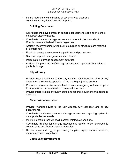• Insure redundancy and backup of essential city electronic communications, documents and reports.

#### **Building Department**

- Coordinate the development of damage assessment reporting system to meet post-disaster needs.
- Coordinate data for damage assessment reports to be forwarded to County, state and federal disaster agencies.
- Assist in recommending which public buildings or structures are retained or demolished.
- Establish damage assessment capabilities and procedures.
- Staff and support damage assessment teams.
- Participate in damage assessment activities.
- Assist in the preparation of damage assessment reports as they relate to public buildings.

#### **City Attorney**

- Provide legal assistance to the City Council, City Manager, and all city departments to include operation of the municipal justice system.
- Prepare emergency disaster declarations and emergency ordinances prior to emergencies or disasters for more rapid enactment.
- Provide interpretation of county, state and federal regulations that relate to disasters.

#### **Finance/Administration**

- Provide financial advice to the City Council, City Manager, and all city departments.
- Coordinate the development of a damage assessment reporting system to meet post-disaster needs.
- Maintain detailed records of all disaster-related expenditures.
- Coordinate all data for damage assessment reports to be forwarded to county, state and federal disaster agencies.
- Develop a methodology for purchasing supplies, equipment and services, under emergency conditions.

#### **Community Development**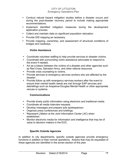- Conduct natural hazard mitigation studies before a disaster occurs and during the post-disaster recovery period to include making appropriate recommendations.
- Implement identified mitigation measures during the development application process.
- Collect and maintain data on significant population relocation.
- Provide GIS mapping as necessary.
- Provide mapping, ownership, and assessment of structural conditions of bridges and roadways.

#### **Victim Assistance**

- Coordinate volunteer staffing to help provide services to disaster victims.
- Coordinate with surrounding victim assistance advocates to respond to the event if needed.
- Act as a liaison between the victims of a disaster and other agencies such as Red Cross, Salvation Army, and other referral resources.
- Provide crisis counseling to victims.
- Provide services to emergency services workers who are affected by the disaster.
- Provide follow up with emergency services workers after the event to ensure their mental health needs are met through EAP services and debriefings such as Arapahoe-Douglas Mental Health or other appropriate venues or systems.

#### **Communications**

- Provide timely public information using electronic and traditional media.
- Coordinate all media interview requests.
- Develop messages and prepare sole spokesperson.
- Organize press conferences and briefings.
- Represent Littleton at the Joint Information Center (JIC) when established.
- Monitor electronic media for information and intelligence that may be of value to decision makers in the EOC.

#### **Specific Outside Agencies**

In addition to city departments, specific outside agencies provide emergency functions in addition to their normal operations. Actions that may be requested of these agencies are identified in the annex section of this plan.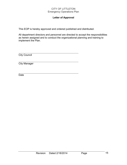#### **Letter of Approval**

This EOP is hereby approved and ordered published and distributed.

All department directors and personnel are directed to accept the responsibilities as herein assigned and to conduct the organizational planning and training to implement the Plan.

**City Council** 

City Manager

Date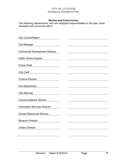#### **Review and Concurrence**

The following departments, who are assigned responsibilities in the plan, have reviewed and concurred with it.

| <b>City Council/Mayor</b>                                                                                                                                                                                                                                   |  |  |
|-------------------------------------------------------------------------------------------------------------------------------------------------------------------------------------------------------------------------------------------------------------|--|--|
| <b>City Manager</b><br><u>and the state of the state of the state of the state of the state of the state of the state of the state of the state of the state of the state of the state of the state of the state of the state of the state of the state</u> |  |  |
| <b>Community Development Director</b>                                                                                                                                                                                                                       |  |  |
| <b>Public Works Director</b>                                                                                                                                                                                                                                |  |  |
| <b>Police Chief</b>                                                                                                                                                                                                                                         |  |  |
| <b>City Clerk</b>                                                                                                                                                                                                                                           |  |  |
| <b>Finance Director</b>                                                                                                                                                                                                                                     |  |  |
| <b>Fire Department</b><br><u> 1980 - Jan Barbara Barbara, prima populație de la programa de la programa de la programa de la programa de l</u>                                                                                                              |  |  |
| City Attorney <b>Example 2018</b>                                                                                                                                                                                                                           |  |  |
| <b>Communications Director</b>                                                                                                                                                                                                                              |  |  |
| <b>Information Services Director</b>                                                                                                                                                                                                                        |  |  |
| <b>Human Resources Director</b>                                                                                                                                                                                                                             |  |  |
| <b>Museum Director</b>                                                                                                                                                                                                                                      |  |  |
| <b>Library Director</b>                                                                                                                                                                                                                                     |  |  |
|                                                                                                                                                                                                                                                             |  |  |